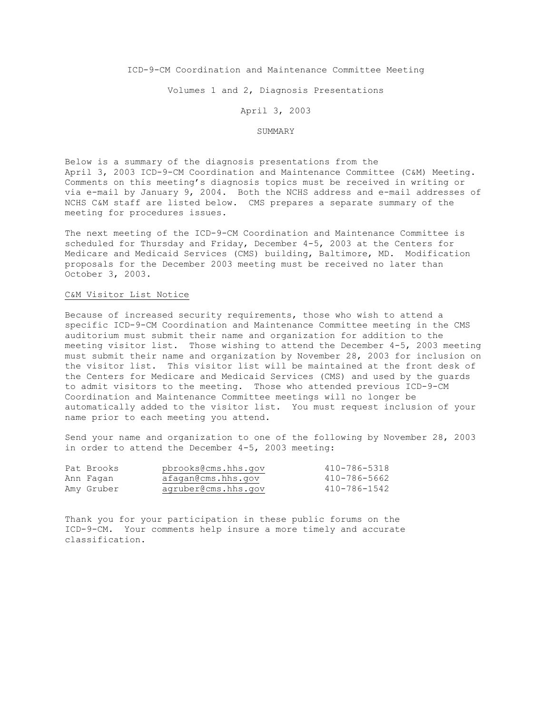# ICD-9-CM Coordination and Maintenance Committee Meeting

Volumes 1 and 2, Diagnosis Presentations

#### April 3, 2003

### SUMMARY

Below is a summary of the diagnosis presentations from the April 3, 2003 ICD-9-CM Coordination and Maintenance Committee (C&M) Meeting. Comments on this meeting's diagnosis topics must be received in writing or via e-mail by January 9, 2004. Both the NCHS address and e-mail addresses of NCHS C&M staff are listed below. CMS prepares a separate summary of the meeting for procedures issues.

The next meeting of the ICD-9-CM Coordination and Maintenance Committee is scheduled for Thursday and Friday, December 4-5, 2003 at the Centers for Medicare and Medicaid Services (CMS) building, Baltimore, MD. Modification proposals for the December 2003 meeting must be received no later than October 3, 2003.

#### C&M Visitor List Notice

Because of increased security requirements, those who wish to attend a specific ICD-9-CM Coordination and Maintenance Committee meeting in the CMS auditorium must submit their name and organization for addition to the meeting visitor list. Those wishing to attend the December 4-5, 2003 meeting must submit their name and organization by November 28, 2003 for inclusion on the visitor list. This visitor list will be maintained at the front desk of the Centers for Medicare and Medicaid Services (CMS) and used by the guards to admit visitors to the meeting. Those who attended previous ICD-9-CM Coordination and Maintenance Committee meetings will no longer be automatically added to the visitor list. You must request inclusion of your name prior to each meeting you attend.

Send your name and organization to one of the following by November 28, 2003 in order to attend the December 4-5, 2003 meeting:

| Pat Brooks | pbrooks@cms.hhs.qov | 410-786-5318 |
|------------|---------------------|--------------|
| Ann Fagan  | afagan@cms.hhs.gov  | 410-786-5662 |
| Amy Gruber | agruber@cms.hhs.gov | 410-786-1542 |

Thank you for your participation in these public forums on the ICD-9-CM. Your comments help insure a more timely and accurate classification.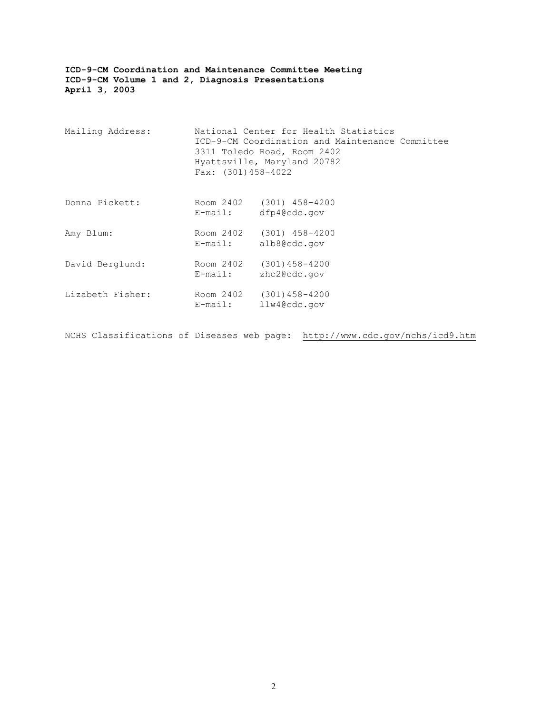| Mailing Address: | Fax: $(301) 458 - 4022$ | National Center for Health Statistics<br>ICD-9-CM Coordination and Maintenance Committee<br>3311 Toledo Road, Room 2402<br>Hyattsville, Maryland 20782 |  |
|------------------|-------------------------|--------------------------------------------------------------------------------------------------------------------------------------------------------|--|
| Donna Pickett:   | E-mail:                 | Room 2402 (301) 458-4200<br>dfp4@cdc.gov                                                                                                               |  |
| Amy Blum:        | $E$ -mail:              | Room 2402 (301) 458-4200<br>alb8@cdc.gov                                                                                                               |  |
| David Berglund:  | E-mail:                 | Room 2402 (301)458-4200<br>zhc2@cdc.gov                                                                                                                |  |
| Lizabeth Fisher: | E-mail:                 | Room 2402 (301) 458-4200<br>llw4@cdc.gov                                                                                                               |  |

NCHS Classifications of Diseases web page: http://www.cdc.gov/nchs/icd9.htm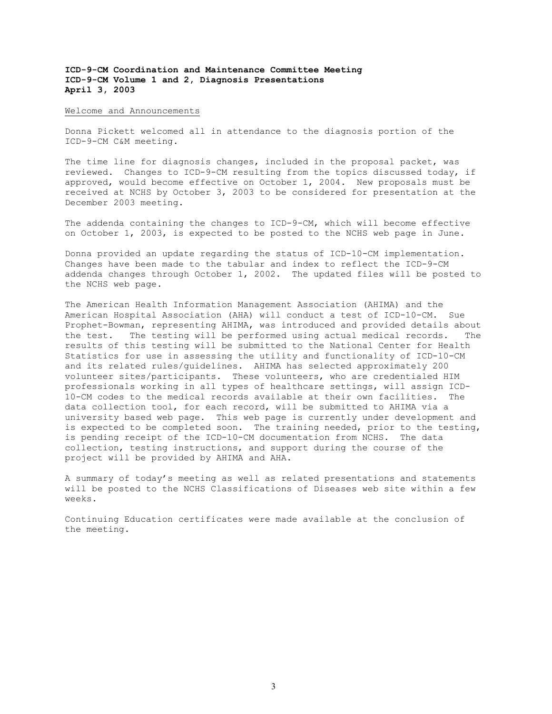Welcome and Announcements

Donna Pickett welcomed all in attendance to the diagnosis portion of the ICD-9-CM C&M meeting.

The time line for diagnosis changes, included in the proposal packet, was reviewed. Changes to ICD-9-CM resulting from the topics discussed today, if approved, would become effective on October 1, 2004. New proposals must be received at NCHS by October 3, 2003 to be considered for presentation at the December 2003 meeting.

The addenda containing the changes to ICD-9-CM, which will become effective on October 1, 2003, is expected to be posted to the NCHS web page in June.

Donna provided an update regarding the status of ICD-10-CM implementation. Changes have been made to the tabular and index to reflect the ICD-9-CM addenda changes through October 1, 2002. The updated files will be posted to the NCHS web page.

The American Health Information Management Association (AHIMA) and the American Hospital Association (AHA) will conduct a test of ICD-10-CM. Sue Prophet-Bowman, representing AHIMA, was introduced and provided details about the test. The testing will be performed using actual medical records. The results of this testing will be submitted to the National Center for Health Statistics for use in assessing the utility and functionality of ICD-10-CM and its related rules/guidelines. AHIMA has selected approximately 200 volunteer sites/participants. These volunteers, who are credentialed HIM professionals working in all types of healthcare settings, will assign ICD-10-CM codes to the medical records available at their own facilities. The data collection tool, for each record, will be submitted to AHIMA via a university based web page. This web page is currently under development and is expected to be completed soon. The training needed, prior to the testing, is pending receipt of the ICD-10-CM documentation from NCHS. The data collection, testing instructions, and support during the course of the project will be provided by AHIMA and AHA.

A summary of today's meeting as well as related presentations and statements will be posted to the NCHS Classifications of Diseases web site within a few weeks.

Continuing Education certificates were made available at the conclusion of the meeting.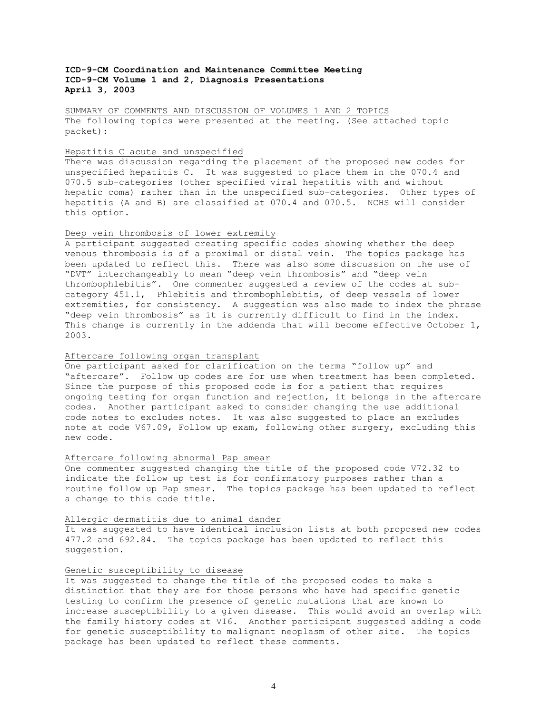SUMMARY OF COMMENTS AND DISCUSSION OF VOLUMES 1 AND 2 TOPICS The following topics were presented at the meeting. (See attached topic packet):

# Hepatitis C acute and unspecified

There was discussion regarding the placement of the proposed new codes for unspecified hepatitis C. It was suggested to place them in the 070.4 and 070.5 sub-categories (other specified viral hepatitis with and without hepatic coma) rather than in the unspecified sub-categories. Other types of hepatitis (A and B) are classified at 070.4 and 070.5. NCHS will consider this option.

# Deep vein thrombosis of lower extremity

A participant suggested creating specific codes showing whether the deep venous thrombosis is of a proximal or distal vein. The topics package has been updated to reflect this. There was also some discussion on the use of "DVT" interchangeably to mean "deep vein thrombosis" and "deep vein thrombophlebitis". One commenter suggested a review of the codes at subcategory 451.1, Phlebitis and thrombophlebitis, of deep vessels of lower extremities, for consistency. A suggestion was also made to index the phrase "deep vein thrombosis" as it is currently difficult to find in the index. This change is currently in the addenda that will become effective October 1, 2003.

# Aftercare following organ transplant

One participant asked for clarification on the terms "follow up" and "aftercare". Follow up codes are for use when treatment has been completed. Since the purpose of this proposed code is for a patient that requires ongoing testing for organ function and rejection, it belongs in the aftercare codes. Another participant asked to consider changing the use additional code notes to excludes notes. It was also suggested to place an excludes note at code V67.09, Follow up exam, following other surgery, excluding this new code.

### Aftercare following abnormal Pap smear

One commenter suggested changing the title of the proposed code V72.32 to indicate the follow up test is for confirmatory purposes rather than a routine follow up Pap smear. The topics package has been updated to reflect a change to this code title.

# Allergic dermatitis due to animal dander

It was suggested to have identical inclusion lists at both proposed new codes 477.2 and 692.84. The topics package has been updated to reflect this suggestion.

# Genetic susceptibility to disease

It was suggested to change the title of the proposed codes to make a distinction that they are for those persons who have had specific genetic testing to confirm the presence of genetic mutations that are known to increase susceptibility to a given disease. This would avoid an overlap with the family history codes at V16. Another participant suggested adding a code for genetic susceptibility to malignant neoplasm of other site. The topics package has been updated to reflect these comments.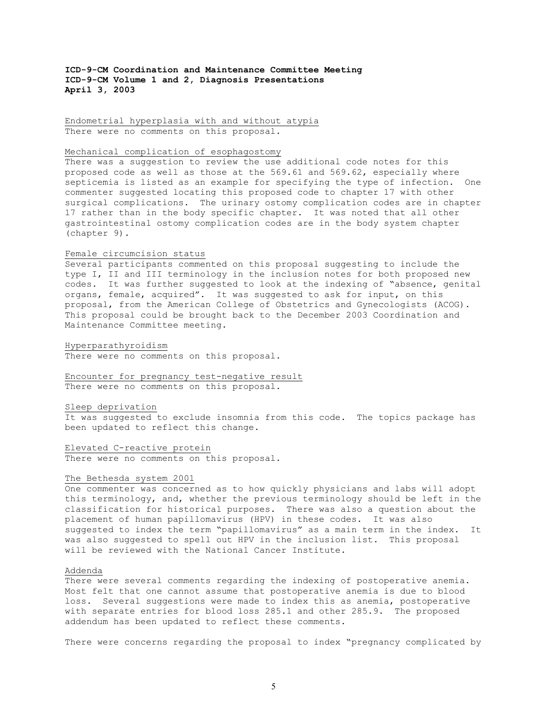Endometrial hyperplasia with and without atypia There were no comments on this proposal.

### Mechanical complication of esophagostomy

There was a suggestion to review the use additional code notes for this proposed code as well as those at the 569.61 and 569.62, especially where septicemia is listed as an example for specifying the type of infection. One commenter suggested locating this proposed code to chapter 17 with other surgical complications. The urinary ostomy complication codes are in chapter 17 rather than in the body specific chapter. It was noted that all other gastrointestinal ostomy complication codes are in the body system chapter (chapter 9).

### Female circumcision status

Several participants commented on this proposal suggesting to include the type I, II and III terminology in the inclusion notes for both proposed new codes. It was further suggested to look at the indexing of "absence, genital organs, female, acquired". It was suggested to ask for input, on this proposal, from the American College of Obstetrics and Gynecologists (ACOG). This proposal could be brought back to the December 2003 Coordination and Maintenance Committee meeting.

### Hyperparathyroidism

There were no comments on this proposal.

Encounter for pregnancy test-negative result There were no comments on this proposal.

### Sleep deprivation

It was suggested to exclude insomnia from this code. The topics package has been updated to reflect this change.

Elevated C-reactive protein There were no comments on this proposal.

#### The Bethesda system 2001

One commenter was concerned as to how quickly physicians and labs will adopt this terminology, and, whether the previous terminology should be left in the classification for historical purposes. There was also a question about the placement of human papillomavirus (HPV) in these codes. It was also suggested to index the term "papillomavirus" as a main term in the index. It was also suggested to spell out HPV in the inclusion list. This proposal will be reviewed with the National Cancer Institute.

#### Addenda

There were several comments regarding the indexing of postoperative anemia. Most felt that one cannot assume that postoperative anemia is due to blood loss. Several suggestions were made to index this as anemia, postoperative with separate entries for blood loss 285.1 and other 285.9. The proposed addendum has been updated to reflect these comments.

There were concerns regarding the proposal to index "pregnancy complicated by